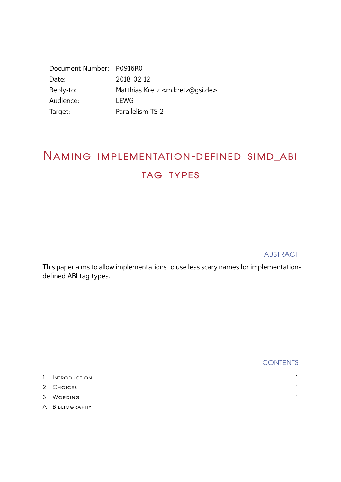| Document Number: P0916R0 |                                                  |
|--------------------------|--------------------------------------------------|
| Date:                    | 2018-02-12                                       |
| Reply-to:                | Matthias Kretz <m.kretz@gsi.de></m.kretz@gsi.de> |
| Audience:                | <b>LEWG</b>                                      |
| Target:                  | Parallelism TS 2                                 |

## Naming implementation-defined simd\_abi TAG TYPES

**ABSTRACT** 

This paper aims to allow implementations to use less scary names for implementationdefined ABI tag types.

|               |                     | <b>CONTENTS</b> |
|---------------|---------------------|-----------------|
| 1.            | <b>INTRODUCTION</b> |                 |
|               | 2 CHOICES           |                 |
| $\mathcal{S}$ | <b>WORDING</b>      |                 |
|               | A BIBLIOGRAPHY      |                 |